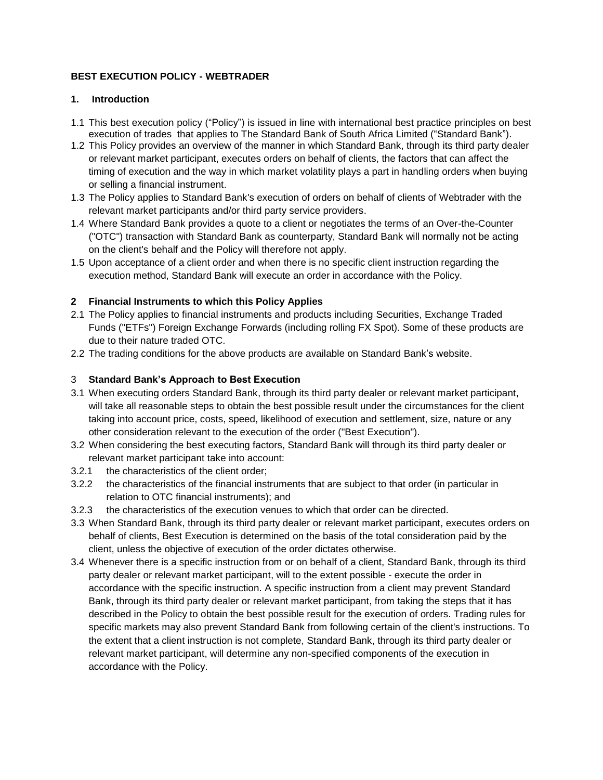# **BEST EXECUTION POLICY - WEBTRADER**

#### **1. Introduction**

- 1.1 This best execution policy ("Policy") is issued in line with international best practice principles on best execution of trades that applies to The Standard Bank of South Africa Limited ("Standard Bank").
- 1.2 This Policy provides an overview of the manner in which Standard Bank, through its third party dealer or relevant market participant, executes orders on behalf of clients, the factors that can affect the timing of execution and the way in which market volatility plays a part in handling orders when buying or selling a financial instrument.
- 1.3 The Policy applies to Standard Bank's execution of orders on behalf of clients of Webtrader with the relevant market participants and/or third party service providers.
- 1.4 Where Standard Bank provides a quote to a client or negotiates the terms of an Over-the-Counter ("OTC") transaction with Standard Bank as counterparty, Standard Bank will normally not be acting on the client's behalf and the Policy will therefore not apply.
- 1.5 Upon acceptance of a client order and when there is no specific client instruction regarding the execution method, Standard Bank will execute an order in accordance with the Policy.

# **2 Financial Instruments to which this Policy Applies**

- 2.1 The Policy applies to financial instruments and products including Securities, Exchange Traded Funds ("ETFs") Foreign Exchange Forwards (including rolling FX Spot). Some of these products are due to their nature traded OTC.
- 2.2 The trading conditions for the above products are available on Standard Bank's website.

#### 3 **Standard Bank's Approach to Best Execution**

- 3.1 When executing orders Standard Bank, through its third party dealer or relevant market participant, will take all reasonable steps to obtain the best possible result under the circumstances for the client taking into account price, costs, speed, likelihood of execution and settlement, size, nature or any other consideration relevant to the execution of the order ("Best Execution").
- 3.2 When considering the best executing factors, Standard Bank will through its third party dealer or relevant market participant take into account:
- 3.2.1 the characteristics of the client order;
- 3.2.2 the characteristics of the financial instruments that are subject to that order (in particular in relation to OTC financial instruments); and
- 3.2.3 the characteristics of the execution venues to which that order can be directed.
- 3.3 When Standard Bank, through its third party dealer or relevant market participant, executes orders on behalf of clients, Best Execution is determined on the basis of the total consideration paid by the client, unless the objective of execution of the order dictates otherwise.
- 3.4 Whenever there is a specific instruction from or on behalf of a client, Standard Bank, through its third party dealer or relevant market participant, will to the extent possible - execute the order in accordance with the specific instruction. A specific instruction from a client may prevent Standard Bank, through its third party dealer or relevant market participant, from taking the steps that it has described in the Policy to obtain the best possible result for the execution of orders. Trading rules for specific markets may also prevent Standard Bank from following certain of the client's instructions. To the extent that a client instruction is not complete, Standard Bank, through its third party dealer or relevant market participant, will determine any non-specified components of the execution in accordance with the Policy.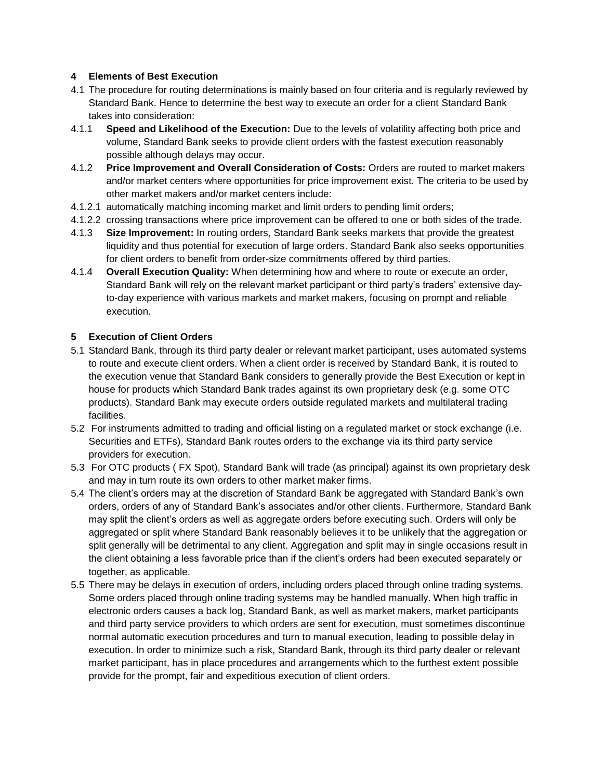# **4 Elements of Best Execution**

- 4.1 The procedure for routing determinations is mainly based on four criteria and is regularly reviewed by Standard Bank. Hence to determine the best way to execute an order for a client Standard Bank takes into consideration:
- 4.1.1 **Speed and Likelihood of the Execution:** Due to the levels of volatility affecting both price and volume, Standard Bank seeks to provide client orders with the fastest execution reasonably possible although delays may occur.
- 4.1.2 **Price Improvement and Overall Consideration of Costs:** Orders are routed to market makers and/or market centers where opportunities for price improvement exist. The criteria to be used by other market makers and/or market centers include:
- 4.1.2.1 automatically matching incoming market and limit orders to pending limit orders;
- 4.1.2.2 crossing transactions where price improvement can be offered to one or both sides of the trade.
- 4.1.3 **Size Improvement:** In routing orders, Standard Bank seeks markets that provide the greatest liquidity and thus potential for execution of large orders. Standard Bank also seeks opportunities for client orders to benefit from order-size commitments offered by third parties.
- 4.1.4 **Overall Execution Quality:** When determining how and where to route or execute an order, Standard Bank will rely on the relevant market participant or third party's traders' extensive dayto-day experience with various markets and market makers, focusing on prompt and reliable execution.

# **5 Execution of Client Orders**

- 5.1 Standard Bank, through its third party dealer or relevant market participant, uses automated systems to route and execute client orders. When a client order is received by Standard Bank, it is routed to the execution venue that Standard Bank considers to generally provide the Best Execution or kept in house for products which Standard Bank trades against its own proprietary desk (e.g. some OTC products). Standard Bank may execute orders outside regulated markets and multilateral trading facilities.
- 5.2 For instruments admitted to trading and official listing on a regulated market or stock exchange (i.e. Securities and ETFs), Standard Bank routes orders to the exchange via its third party service providers for execution.
- 5.3 For OTC products ( FX Spot), Standard Bank will trade (as principal) against its own proprietary desk and may in turn route its own orders to other market maker firms.
- 5.4 The client's orders may at the discretion of Standard Bank be aggregated with Standard Bank's own orders, orders of any of Standard Bank's associates and/or other clients. Furthermore, Standard Bank may split the client's orders as well as aggregate orders before executing such. Orders will only be aggregated or split where Standard Bank reasonably believes it to be unlikely that the aggregation or split generally will be detrimental to any client. Aggregation and split may in single occasions result in the client obtaining a less favorable price than if the client's orders had been executed separately or together, as applicable.
- 5.5 There may be delays in execution of orders, including orders placed through online trading systems. Some orders placed through online trading systems may be handled manually. When high traffic in electronic orders causes a back log, Standard Bank, as well as market makers, market participants and third party service providers to which orders are sent for execution, must sometimes discontinue normal automatic execution procedures and turn to manual execution, leading to possible delay in execution. In order to minimize such a risk, Standard Bank, through its third party dealer or relevant market participant, has in place procedures and arrangements which to the furthest extent possible provide for the prompt, fair and expeditious execution of client orders.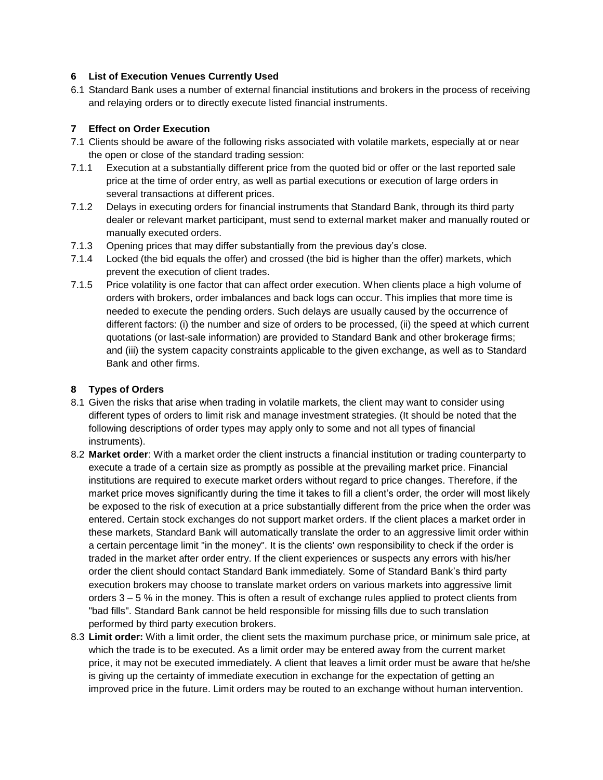### **6 List of Execution Venues Currently Used**

6.1 Standard Bank uses a number of external financial institutions and brokers in the process of receiving and relaying orders or to directly execute listed financial instruments.

### **7 Effect on Order Execution**

- 7.1 Clients should be aware of the following risks associated with volatile markets, especially at or near the open or close of the standard trading session:
- 7.1.1 Execution at a substantially different price from the quoted bid or offer or the last reported sale price at the time of order entry, as well as partial executions or execution of large orders in several transactions at different prices.
- 7.1.2 Delays in executing orders for financial instruments that Standard Bank, through its third party dealer or relevant market participant, must send to external market maker and manually routed or manually executed orders.
- 7.1.3 Opening prices that may differ substantially from the previous day's close.
- 7.1.4 Locked (the bid equals the offer) and crossed (the bid is higher than the offer) markets, which prevent the execution of client trades.
- 7.1.5 Price volatility is one factor that can affect order execution. When clients place a high volume of orders with brokers, order imbalances and back logs can occur. This implies that more time is needed to execute the pending orders. Such delays are usually caused by the occurrence of different factors: (i) the number and size of orders to be processed, (ii) the speed at which current quotations (or last-sale information) are provided to Standard Bank and other brokerage firms; and (iii) the system capacity constraints applicable to the given exchange, as well as to Standard Bank and other firms.

# **8 Types of Orders**

- 8.1 Given the risks that arise when trading in volatile markets, the client may want to consider using different types of orders to limit risk and manage investment strategies. (It should be noted that the following descriptions of order types may apply only to some and not all types of financial instruments).
- 8.2 **Market order**: With a market order the client instructs a financial institution or trading counterparty to execute a trade of a certain size as promptly as possible at the prevailing market price. Financial institutions are required to execute market orders without regard to price changes. Therefore, if the market price moves significantly during the time it takes to fill a client's order, the order will most likely be exposed to the risk of execution at a price substantially different from the price when the order was entered. Certain stock exchanges do not support market orders. If the client places a market order in these markets, Standard Bank will automatically translate the order to an aggressive limit order within a certain percentage limit "in the money". It is the clients' own responsibility to check if the order is traded in the market after order entry. If the client experiences or suspects any errors with his/her order the client should contact Standard Bank immediately*.* Some of Standard Bank's third party execution brokers may choose to translate market orders on various markets into aggressive limit orders 3 – 5 % in the money. This is often a result of exchange rules applied to protect clients from "bad fills". Standard Bank cannot be held responsible for missing fills due to such translation performed by third party execution brokers.
- 8.3 **Limit order:** With a limit order, the client sets the maximum purchase price, or minimum sale price, at which the trade is to be executed. As a limit order may be entered away from the current market price, it may not be executed immediately. A client that leaves a limit order must be aware that he/she is giving up the certainty of immediate execution in exchange for the expectation of getting an improved price in the future. Limit orders may be routed to an exchange without human intervention.